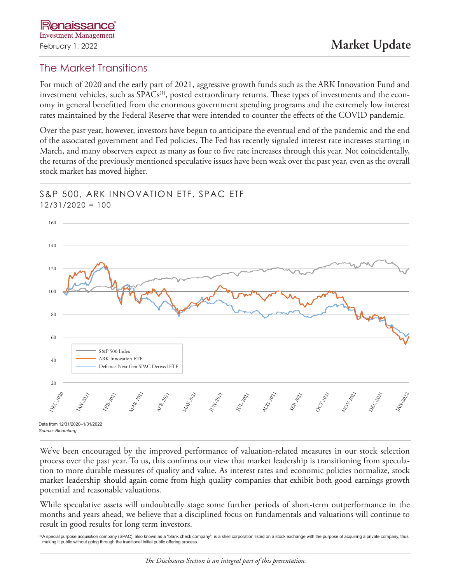# The Market Transitions

For much of 2020 and the early part of 2021, aggressive growth funds such as the ARK Innovation Fund and investment vehicles, such as SPACs<sup>(1)</sup>, posted extraordinary returns. These types of investments and the economy in general benefitted from the enormous government spending programs and the extremely low interest rates maintained by the Federal Reserve that were intended to counter the effects of the COVID pandemic.

Over the past year, however, investors have begun to anticipate the eventual end of the pandemic and the end of the associated government and Fed policies. The Fed has recently signaled interest rate increases starting in March, and many observers expect as many as four to five rate increases through this year. Not coincidentally, the returns of the previously mentioned speculative issues have been weak over the past year, even as the overall stock market has moved higher.

#### S&P 500, ARK INNOVATION ETF, SPAC ETF 12/31/2020 = 100



We've been encouraged by the improved performance of valuation-related measures in our stock selection process over the past year. To us, this confirms our view that market leadership is transitioning from speculation to more durable measures of quality and value. As interest rates and economic policies normalize, stock market leadership should again come from high quality companies that exhibit both good earnings growth potential and reasonable valuations.

While speculative assets will undoubtedly stage some further periods of short-term outperformance in the months and years ahead, we believe that a disciplined focus on fundamentals and valuations will continue to result in good results for long term investors.

<sup>1)</sup>A special purpose acquisition company (SPAC), also known as a "blank check company", is a shell corporation listed on a stock exchange with the purpose of acquiring a private company, thus making it public without going through the traditional initial public offering process